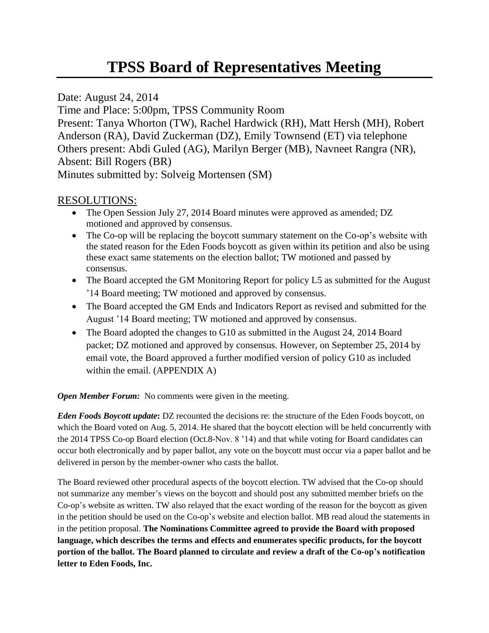Date: August 24, 2014 Time and Place: 5:00pm, TPSS Community Room Present: Tanya Whorton (TW), Rachel Hardwick (RH), Matt Hersh (MH), Robert Anderson (RA), David Zuckerman (DZ), Emily Townsend (ET) via telephone Others present: Abdi Guled (AG), Marilyn Berger (MB), Navneet Rangra (NR), Absent: Bill Rogers (BR) Minutes submitted by: Solveig Mortensen (SM)

## RESOLUTIONS:

- The Open Session July 27, 2014 Board minutes were approved as amended; DZ motioned and approved by consensus.
- The Co-op will be replacing the boycott summary statement on the Co-op's website with the stated reason for the Eden Foods boycott as given within its petition and also be using these exact same statements on the election ballot; TW motioned and passed by consensus.
- The Board accepted the GM Monitoring Report for policy L5 as submitted for the August '14 Board meeting; TW motioned and approved by consensus.
- The Board accepted the GM Ends and Indicators Report as revised and submitted for the August '14 Board meeting; TW motioned and approved by consensus.
- The Board adopted the changes to G10 as submitted in the August 24, 2014 Board packet; DZ motioned and approved by consensus. However, on September 25, 2014 by email vote, the Board approved a further modified version of policy G10 as included within the email. (APPENDIX A)

*Open Member Forum:* No comments were given in the meeting.

*Eden Foods Boycott update***:** DZ recounted the decisions re: the structure of the Eden Foods boycott, on which the Board voted on Aug. 5, 2014. He shared that the boycott election will be held concurrently with the 2014 TPSS Co-op Board election (Oct.8-Nov. 8 '14) and that while voting for Board candidates can occur both electronically and by paper ballot, any vote on the boycott must occur via a paper ballot and be delivered in person by the member-owner who casts the ballot.

The Board reviewed other procedural aspects of the boycott election. TW advised that the Co-op should not summarize any member's views on the boycott and should post any submitted member briefs on the Co-op's website as written. TW also relayed that the exact wording of the reason for the boycott as given in the petition should be used on the Co-op's website and election ballot. MB read aloud the statements in in the petition proposal. **The Nominations Committee agreed to provide the Board with proposed language, which describes the terms and effects and enumerates specific products, for the boycott portion of the ballot. The Board planned to circulate and review a draft of the Co-op's notification letter to Eden Foods, Inc.**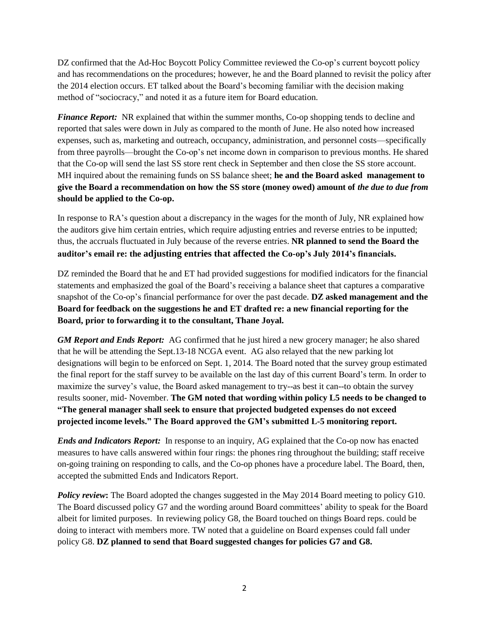DZ confirmed that the Ad-Hoc Boycott Policy Committee reviewed the Co-op's current boycott policy and has recommendations on the procedures; however, he and the Board planned to revisit the policy after the 2014 election occurs. ET talked about the Board's becoming familiar with the decision making method of "sociocracy," and noted it as a future item for Board education.

*Finance Report:* NR explained that within the summer months, Co-op shopping tends to decline and reported that sales were down in July as compared to the month of June. He also noted how increased expenses, such as, marketing and outreach, occupancy, administration, and personnel costs—specifically from three payrolls—brought the Co-op's net income down in comparison to previous months. He shared that the Co-op will send the last SS store rent check in September and then close the SS store account. MH inquired about the remaining funds on SS balance sheet; **he and the Board asked management to give the Board a recommendation on how the SS store (money owed) amount of** *the due to due from* **should be applied to the Co-op.**

In response to RA's question about a discrepancy in the wages for the month of July, NR explained how the auditors give him certain entries, which require adjusting entries and reverse entries to be inputted; thus, the accruals fluctuated in July because of the reverse entries. **NR planned to send the Board the auditor's email re: the adjusting entries that affected the Co-op's July 2014's financials.**

DZ reminded the Board that he and ET had provided suggestions for modified indicators for the financial statements and emphasized the goal of the Board's receiving a balance sheet that captures a comparative snapshot of the Co-op's financial performance for over the past decade. **DZ asked management and the Board for feedback on the suggestions he and ET drafted re: a new financial reporting for the Board, prior to forwarding it to the consultant, Thane Joyal.** 

*GM Report and Ends Report:* AG confirmed that he just hired a new grocery manager; he also shared that he will be attending the Sept.13-18 NCGA event. AG also relayed that the new parking lot designations will begin to be enforced on Sept. 1, 2014. The Board noted that the survey group estimated the final report for the staff survey to be available on the last day of this current Board's term. In order to maximize the survey's value, the Board asked management to try--as best it can--to obtain the survey results sooner, mid- November. **The GM noted that wording within policy L5 needs to be changed to "The general manager shall seek to ensure that projected budgeted expenses do not exceed projected income levels." The Board approved the GM's submitted L-5 monitoring report.** 

*Ends and Indicators Report:* In response to an inquiry, AG explained that the Co-op now has enacted measures to have calls answered within four rings: the phones ring throughout the building; staff receive on-going training on responding to calls, and the Co-op phones have a procedure label. The Board, then, accepted the submitted Ends and Indicators Report.

*Policy review*: The Board adopted the changes suggested in the May 2014 Board meeting to policy G10. The Board discussed policy G7 and the wording around Board committees' ability to speak for the Board albeit for limited purposes. In reviewing policy G8, the Board touched on things Board reps. could be doing to interact with members more. TW noted that a guideline on Board expenses could fall under policy G8. **DZ planned to send that Board suggested changes for policies G7 and G8.**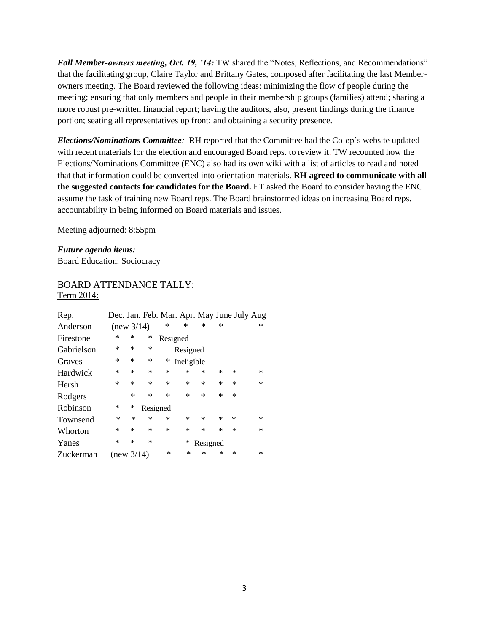*Fall Member-owners meeting, Oct. 19, '14:* TW shared the "Notes, Reflections, and Recommendations" that the facilitating group, Claire Taylor and Brittany Gates, composed after facilitating the last Memberowners meeting. The Board reviewed the following ideas: minimizing the flow of people during the meeting; ensuring that only members and people in their membership groups (families) attend; sharing a more robust pre-written financial report; having the auditors, also, present findings during the finance portion; seating all representatives up front; and obtaining a security presence.

*Elections/Nominations Committee:* RH reported that the Committee had the Co-op's website updated with recent materials for the election and encouraged Board reps. to review it. TW recounted how the Elections/Nominations Committee (ENC) also had its own wiki with a list of articles to read and noted that that information could be converted into orientation materials. **RH agreed to communicate with all the suggested contacts for candidates for the Board.** ET asked the Board to consider having the ENC assume the task of training new Board reps. The Board brainstormed ideas on increasing Board reps. accountability in being informed on Board materials and issues.

Meeting adjourned: 8:55pm

*Future agenda items:*  Board Education: Sociocracy

## BOARD ATTENDANCE TALLY: Term 2014:

| Rep.       |            |        |          |        | <u>Dec. Jan. Feb. Mar. Apr. May June July Aug</u> |          |           |        |        |
|------------|------------|--------|----------|--------|---------------------------------------------------|----------|-----------|--------|--------|
| Anderson   | (new 3/14) |        |          | ∗      | $\ast$                                            | $\ast$   | $\ast$    |        | ∗      |
| Firestone  | ∗          | ∗      | ∗        |        | Resigned                                          |          |           |        |        |
| Gabrielson | ∗          | ∗      | $\ast$   |        | Resigned                                          |          |           |        |        |
| Graves     | *          | ∗      | $\ast$   | ∗      | Ineligible                                        |          |           |        |        |
| Hardwick   | *          | ∗      | $\ast$   | ∗      | ∗                                                 | *        | $\ast$    | ∗      | $\ast$ |
| Hersh      | $\ast$     | $\ast$ | $\ast$   | *      | $\ast$                                            | *        | $\ast$    | ∗      | $\ast$ |
| Rodgers    |            | $\ast$ | $\ast$   | *      | $\ast$                                            | $\ast$   | $\ast$    | ∗      |        |
| Robinson   | *          | ∗      | Resigned |        |                                                   |          |           |        |        |
| Townsend   | ∗          | $\ast$ | $\ast$   | ∗      | ∗                                                 | $\ast$   | $^{\ast}$ | $\ast$ | ∗      |
| Whorton    | *          | ∗      | $\ast$   | *      | ∗                                                 | $\ast$   | *         | ∗      | $\ast$ |
| Yanes      | *          | ∗      | $\ast$   |        | ∗                                                 | Resigned |           |        |        |
| Zuckerman  | (new 3/14) |        |          | $\ast$ | ∗                                                 | ×        | ∗         | ∗      | ∗      |